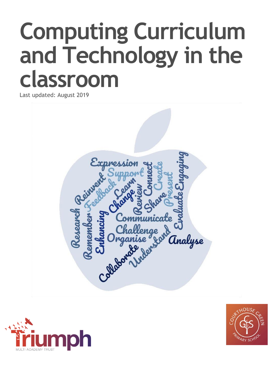# **Computing Curriculum and Technology in the classroom**







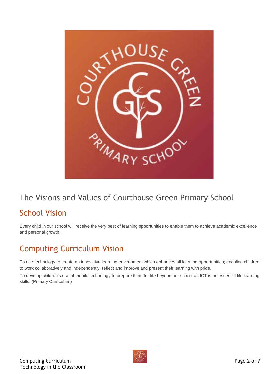

#### The Visions and Values of Courthouse Green Primary School

#### School Vision

Every child in our school will receive the very best of learning opportunities to enable them to achieve academic excellence and personal growth.

## Computing Curriculum Vision

To use technology to create an innovative learning environment which enhances all learning opportunities; enabling children to work collaboratively and independently; reflect and improve and present their learning with pride.

To develop children's use of mobile technology to prepare them for life beyond our school as ICT is an essential life learning skills. (Primary Curriculum)

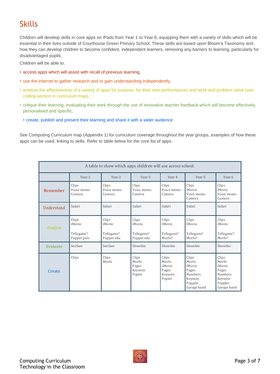# Skills

Children will develop skills in core apps on iPads from Year 1 to Year 6, equipping them with a variety of skills which will be essential in their lives outside of Courthouse Green Primary School. These skills are based upon Bloom's Taxonomy and how they can develop children to become confident, independent learners, removing any barriers to learning, particularly for disadvantaged pupils.

Children will be able to:

- access apps which will assist with recall of previous learning,
- use the internet to gather research and to gain understanding independently,
- analyse the effectiveness of a variety of apps for purpose, for their own performances and work and problem solve (see coding section in curriculum map),
- critique their learning, evaluating their work through the use of innovative teacher feedback which will become effectively personalised and specific,
	- create, publish and present their learning and share it with a wider audience

See Computing Curriculum map (Appendix 1) for curriculum coverage throughout the year groups, examples of how these apps can be used, linking to skills. Refer to table below for the core list of apps.

| A table to show which apps children will use across school. |                                              |                                             |                                              |                                                                                                                                                    |                                         |                                                                                          |  |
|-------------------------------------------------------------|----------------------------------------------|---------------------------------------------|----------------------------------------------|----------------------------------------------------------------------------------------------------------------------------------------------------|-----------------------------------------|------------------------------------------------------------------------------------------|--|
|                                                             | Year 1                                       | Year 2                                      | Year 3                                       | Year 4                                                                                                                                             | Year 5                                  | Year 6                                                                                   |  |
| Remember                                                    | Clips<br>Voice memo<br>Camera                | Clips<br>Voice memo<br>Camera               | Clips<br>Voice memo<br>Camera                | Clips<br>Voice memo<br>Camera                                                                                                                      | Clips<br>iMovie<br>Voice memo<br>Camera | Clips<br>iMovie<br>Voice memo<br>Camera                                                  |  |
| <b>Understand</b>                                           | Safari                                       | Safari                                      | Safari                                       | Safari                                                                                                                                             | Safari                                  | Safari                                                                                   |  |
| Analyse                                                     | Clips<br>iMovie<br>Tellegami?<br>Puppet pals | Clips<br>iMovie<br>Tellegami?<br>Puppet edu | Clips<br>iMovie<br>Tellegami?<br>Puppet edu  | Clips<br>Clips<br>iMovie<br>iMovie<br>Tellegami?<br>Tellegami?<br>Morfo?<br>Morfo?                                                                 |                                         | Clips<br>iMovie<br>Tellegami?<br>Morfo?                                                  |  |
| Evaluate                                                    | SeeSaw                                       | SeeSaw                                      | Showbie                                      | Showbie<br>Showbie                                                                                                                                 |                                         | Showbie                                                                                  |  |
| Clips<br>Create                                             |                                              | Clips<br>Morfo                              | Clips<br>Morfo<br>Pages<br>Keynote<br>Poplet | Clips<br>Clips<br>Morfo<br>Morfo<br>iMovie<br>iMovie<br>Pages<br>Pages<br><b>Numbers</b><br>Keynote<br>Poplet<br>Keynote<br>Popplet<br>Garage band |                                         | Clips<br>Morfo<br>iMovie<br>Pages<br><b>Numbers</b><br>Keynote<br>Popplet<br>Garage band |  |

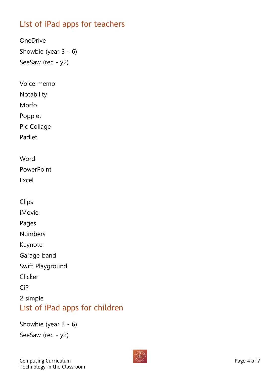## List of iPad apps for teachers

**OneDrive** Showbie (year 3 - 6) SeeSaw (rec - y2)

Voice memo

**Notability** 

Morfo

Popplet

Pic Collage

Padlet

Word

PowerPoint

Excel

**Clips** 

iMovie

Pages

Numbers

Keynote

Garage band

Swift Playground

Clicker

CiP

2 simple

# List of iPad apps for children

Showbie (year 3 - 6) SeeSaw (rec - y2)

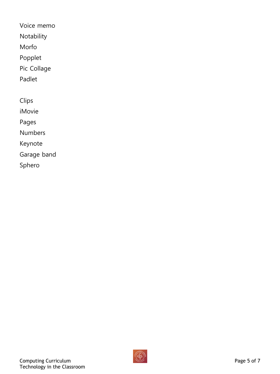Voice memo

Notability

Morfo

Popplet

Pic Collage

Padlet

Clips

iMovie

Pages

Numbers

Keynote

Garage band

Sphero

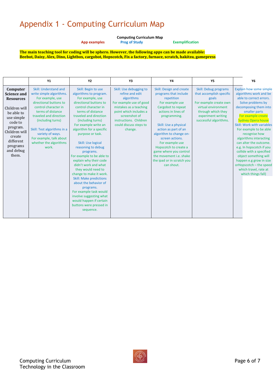## Appendix 1 - Computing Curriculum Map

**Computing Curriculum Map**

**App examples Prog of Study Exemplification**

**The main teaching tool for coding will be sphero. However, the following apps can be made available: Beebot, Daisy, Alex, Dino, Lightbox, cargobot, Hopscotch, Fix a factory, furnace, scratch, hakitzu, gamepress**

|                                                                                                                                                                                                  | <b>Y1</b>                                                                                                                                                                                                                                                                                                    | <b>Y2</b>                                                                                                                                                                                                                                                                                                                                                                                                                                                                                                                                                                                                                                                | Y3                                                                                                                                                                                                                      | <b>Y4</b>                                                                                                                                                                                                                                                                                                                                                                                          | <b>Y5</b>                                                                                                                                                                         | <b>Y6</b>                                                                                                                                                                                                                                                                                                                                                                                                                                                                                                         |
|--------------------------------------------------------------------------------------------------------------------------------------------------------------------------------------------------|--------------------------------------------------------------------------------------------------------------------------------------------------------------------------------------------------------------------------------------------------------------------------------------------------------------|----------------------------------------------------------------------------------------------------------------------------------------------------------------------------------------------------------------------------------------------------------------------------------------------------------------------------------------------------------------------------------------------------------------------------------------------------------------------------------------------------------------------------------------------------------------------------------------------------------------------------------------------------------|-------------------------------------------------------------------------------------------------------------------------------------------------------------------------------------------------------------------------|----------------------------------------------------------------------------------------------------------------------------------------------------------------------------------------------------------------------------------------------------------------------------------------------------------------------------------------------------------------------------------------------------|-----------------------------------------------------------------------------------------------------------------------------------------------------------------------------------|-------------------------------------------------------------------------------------------------------------------------------------------------------------------------------------------------------------------------------------------------------------------------------------------------------------------------------------------------------------------------------------------------------------------------------------------------------------------------------------------------------------------|
| Computer<br><b>Science and</b><br><b>Resources</b><br>Children will<br>be able to<br>use simple<br>code to<br>program.<br>Children will<br>create<br>different<br>programs<br>and debug<br>them. | Skill: Understand and<br>write simple algorithms.<br>For example, use<br>directional buttons to<br>control character in<br>terms of distance<br>traveled and direction<br>(including turns)<br>Skill: Test algorithms in a<br>variety of ways.<br>For example, talk about<br>whether the algorithms<br>work. | Skill: Begin to use<br>algorithms to program.<br>For example, use<br>directional buttons to<br>control character in<br>terms of distance<br>traveled and direction<br>(including turns)<br>For example write an<br>algorithm for a specific<br>purpose or task.<br>Skill: Use logical<br>reasoning to debug<br>programs.<br>For example to be able to<br>explain why their code<br>didn't work and what<br>they would need to<br>change to make it work.<br><b>Skill: Make predictions</b><br>about the behavior of<br>programs.<br>For example task would<br>involve suggesting what<br>would happen if certain<br>buttons were pressed in<br>sequence. | Skill: Use debugging to<br>refine and edit<br>algorithms<br>For example use of good<br>mistakes as a teaching<br>point which includes a<br>screenshot of<br>instructions. Children<br>could discuss steps to<br>change. | Skill: Design and create<br>programs that include<br>repetition<br>For example use<br>Cargobot to repeat<br>actions in lines of<br>programming.<br>Skill: Use a physical<br>action as part of an<br>algorithm to change on-<br>screen actions.<br>For example use<br>Hopscotch to create a<br>game where you control<br>the movement <i>i.e.</i> shake<br>the ipad or in scratch you<br>can shout. | Skill: Debug programs<br>that accomplish specific<br>goals<br>For example create own<br>virtual environment<br>through which they<br>experiment writing<br>successful algorithms. | Explain how some simple<br>algorithms work and be<br>able to correct errors.<br>Solve problems by<br>decomposing them into<br>smaller parts<br>For example create<br><b>Sydney Opera house</b><br>Skill: Work with variables<br>For example to be able<br>recognise how<br>algorithms interacting<br>can alter the outcome.<br>e.g. In hopscotch if you<br>collide with a specified<br>object something will<br>happen e.g grow in size<br>orHopscotch - the speed<br>which travel, rate at<br>which things fall) |